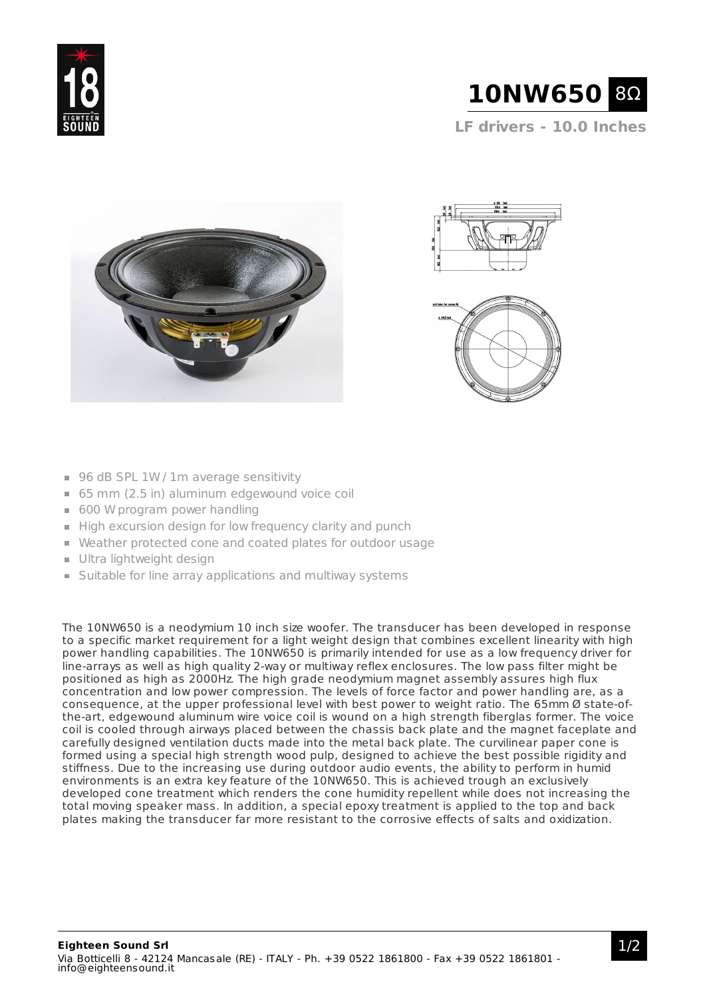

**LF drivers - 10.0 Inches**





- 96 dB SPL 1W / 1m average sensitivity
- 65 mm (2.5 in) aluminum edgewound voice coil
- 600 W program power handling
- High excursion design for low frequency clarity and punch
- Weather protected cone and coated plates for outdoor usage
- Ultra lightweight design
- **Suitable for line array applications and multiway systems**

The 10NW650 is a neodymium 10 inch size woofer. The transducer has been developed in response to a specific market requirement for a light weight design that combines excellent linearity with high power handling capabilities. The 10NW650 is primarily intended for use as a low frequency driver for line-arrays as well as high quality 2-way or multiway reflex enclosures. The low pass filter might be positioned as high as 2000Hz. The high grade neodymium magnet assembly assures high flux concentration and low power compression. The levels of force factor and power handling are, as a consequence, at the upper professional level with best power to weight ratio. The 65mm Ø state-ofthe-art, edgewound aluminum wire voice coil is wound on a high strength fiberglas former. The voice coil is cooled through airways placed between the chassis back plate and the magnet faceplate and carefully designed ventilation ducts made into the metal back plate. The curvilinear paper cone is formed using a special high strength wood pulp, designed to achieve the best possible rigidity and stiffness. Due to the increasing use during outdoor audio events, the ability to perform in humid environments is an extra key feature of the 10NW650. This is achieved trough an exclusively developed cone treatment which renders the cone humidity repellent while does not increasing the total moving speaker mass. In addition, a special epoxy treatment is applied to the top and back plates making the transducer far more resistant to the corrosive effects of salts and oxidization.